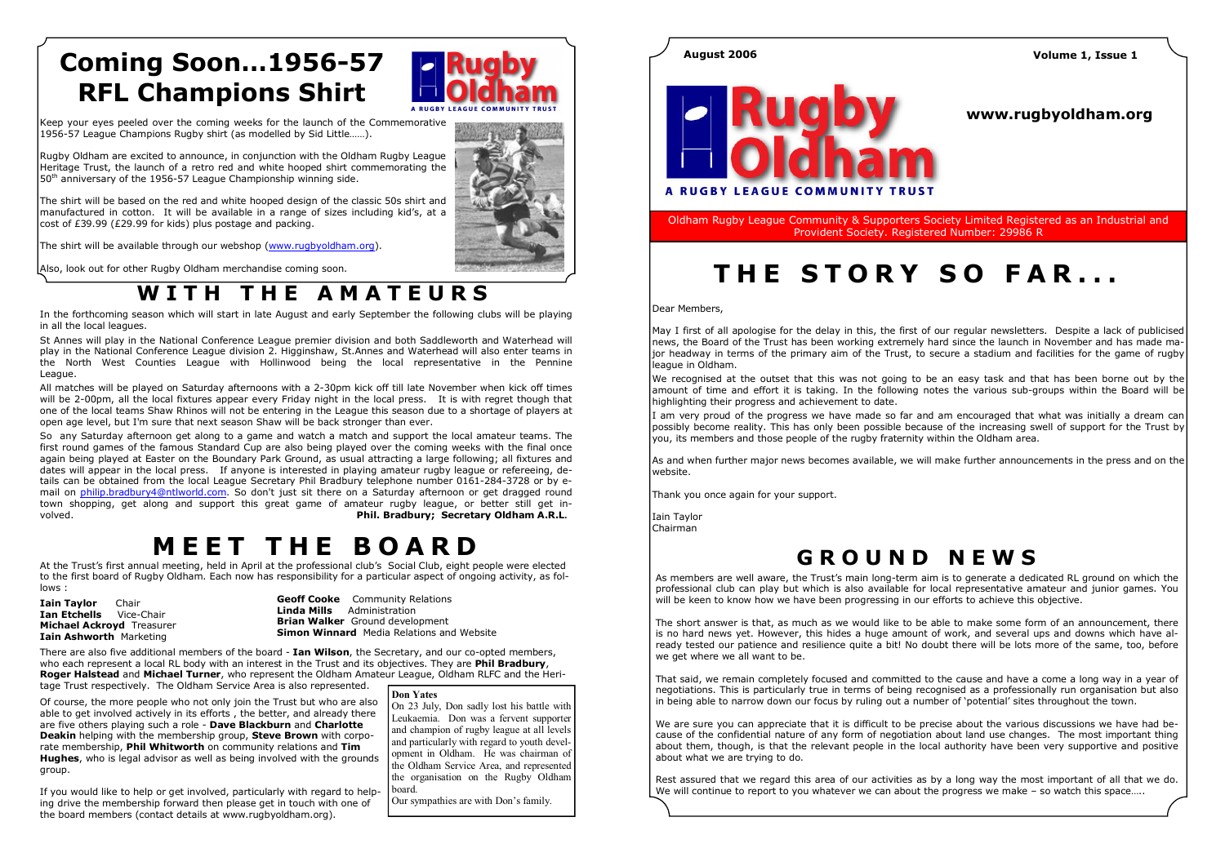At the Trust's first annual meeting, held in April at the professional club's Social Club, eight people were elected to the first board of Rugby Oldham. Each now has responsibility for a particular aspect of ongoing activity, as follows :

**Iain Taylor** Chair **Ian Etchells** Vice-Chair Michael Ackroyd Treasurer Iain Ashworth Marketing

Geoff Cooke Community Relations Linda Mills Administration **Brian Walker** Ground development **Simon Winnard** Media Relations and Website

There are also five additional members of the board - Ian Wilson, the Secretary, and our co-opted members, who each represent a local RL body with an interest in the Trust and its objectives. They are **Phil Bradbury**, **Roger Halstead** and Michael Turner, who represent the Oldham Amateur League, Oldham RLFC and the Heritage Trust respectively. The Oldham Service Area is also represented.

Rugby Oldham are excited to announce, in conjunction with the Oldham Rugby League Heritage Trust, the launch of a retro red and white hooped shirt commemorating the  $50<sup>th</sup>$  anniversary of the 1956-57 League Championship winning side.

Keep your eyes peeled over the coming weeks for the launch of the Commemorative 1956-57 League Champions Rugby shirt (as modelled by Sid Little……).

The shirt will be based on the red and white hooped design of the classic 50s shirt and manufactured in cotton. It will be available in a range of sizes including kid's, at a cost of £39.99 (£29.99 for kids) plus postage and packing.

The shirt will be available through our webshop (www.rugbyoldham.org).

Also, look out for other Rugby Oldham merchandise coming soon.

## WITH THE AMATEURS

# Coming Soon…1956-57 RFL Champions Shirt



Of course, the more people who not only join the Trust but who are also able to get involved actively in its efforts , the better, and already there are five others playing such a role - Dave Blackburn and Charlotte **Deakin** helping with the membership group, **Steve Brown** with corporate membership, Phil Whitworth on community relations and Tim **Hughes**, who is legal advisor as well as being involved with the grounds group.

If you would like to help or get involved, particularly with regard to helping drive the membership forward then please get in touch with one of the board members (contact details at www.rugbyoldham.org).

### Don Yates

 On 23 July, Don sadly lost his battle with Leukaemia. Don was a fervent supporter and champion of rugby league at all levels and particularly with regard to youth development in Oldham. He was chairman of the Oldham Service Area, and represented the organisation on the Rugby Oldham board.

We recognised at the outset that this was not going to be an easy task and that has been borne out by the amount of time and effort it is taking. In the following notes the various sub-groups within the Board will be highlighting their progress and achievement to date.

Our sympathies are with Don's family.



In the forthcoming season which will start in late August and early September the following clubs will be playing in all the local leagues.

St Annes will play in the National Conference League premier division and both Saddleworth and Waterhead will play in the National Conference League division 2. Higginshaw, St.Annes and Waterhead will also enter teams in the North West Counties League with Hollinwood being the local representative in the Pennine League.

All matches will be played on Saturday afternoons with a 2-30pm kick off till late November when kick off times will be 2-00pm, all the local fixtures appear every Friday night in the local press. It is with regret though that one of the local teams Shaw Rhinos will not be entering in the League this season due to a shortage of players at open age level, but I'm sure that next season Shaw will be back stronger than ever.

> Rest assured that we regard this area of our activities as by a long way the most important of all that we do. We will continue to report to you whatever we can about the progress we make – so watch this space.....

So any Saturday afternoon get along to a game and watch a match and support the local amateur teams. The first round games of the famous Standard Cup are also being played over the coming weeks with the final once again being played at Easter on the Boundary Park Ground, as usual attracting a large following; all fixtures and dates will appear in the local press. If anyone is interested in playing amateur rugby league or refereeing, details can be obtained from the local League Secretary Phil Bradbury telephone number 0161-284-3728 or by email on philip.bradbury4@ntlworld.com. So don't just sit there on a Saturday afternoon or get dragged round town shopping, get along and support this great game of amateur rugby league, or better still get involved. Phil. Bradbury; Secretary Oldham A.R.L.

## **MEET THE BOARD**

### www.rugbyoldham.org



Oldham Rugby League Community & Supporters Society Limited Registered as an Industrial and Provident Society. Registered Number: 29986 R

# THE STORY SO FAR...

Dear Members,

May I first of all apologise for the delay in this, the first of our regular newsletters. Despite a lack of publicised news, the Board of the Trust has been working extremely hard since the launch in November and has made major headway in terms of the primary aim of the Trust, to secure a stadium and facilities for the game of rugby league in Oldham.

I am very proud of the progress we have made so far and am encouraged that what was initially a dream can possibly become reality. This has only been possible because of the increasing swell of support for the Trust by you, its members and those people of the rugby fraternity within the Oldham area.

As and when further major news becomes available, we will make further announcements in the press and on the website.

Thank you once again for your support.

Iain Taylor Chairman

### August 2006 Volume 1, Issue 1

## <sup>G</sup> <sup>R</sup> <sup>O</sup> <sup>U</sup> <sup>N</sup> <sup>D</sup> <sup>N</sup> <sup>E</sup> <sup>W</sup> <sup>S</sup>

As members are well aware, the Trust's main long-term aim is to generate a dedicated RL ground on which the professional club can play but which is also available for local representative amateur and junior games. You will be keen to know how we have been progressing in our efforts to achieve this objective.

The short answer is that, as much as we would like to be able to make some form of an announcement, there is no hard news yet. However, this hides a huge amount of work, and several ups and downs which have already tested our patience and resilience quite a bit! No doubt there will be lots more of the same, too, before we get where we all want to be.

That said, we remain completely focused and committed to the cause and have a come a long way in a year of negotiations. This is particularly true in terms of being recognised as a professionally run organisation but also in being able to narrow down our focus by ruling out a number of 'potential' sites throughout the town.

We are sure you can appreciate that it is difficult to be precise about the various discussions we have had because of the confidential nature of any form of negotiation about land use changes. The most important thing about them, though, is that the relevant people in the local authority have been very supportive and positive about what we are trying to do.